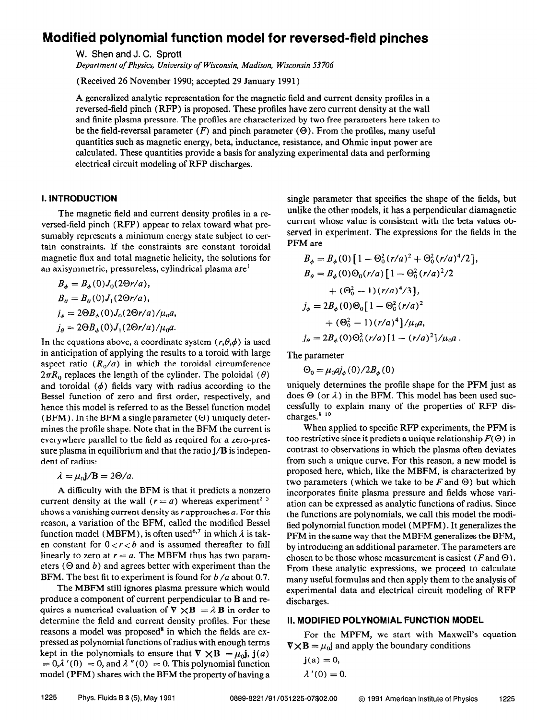# Modified polynomial function model for reversed-field pinches

W. Shen and J. C. Sprott

Department of Physics, University of Wisconsin, Madison, Wisconsin 53 706

(Received 26 November 1990; accepted 29 January 199 1)

A generalized analytic representation for the magnetic field and current density profiles in a reversed-field pinch (RFP) is proposed. These profiles have zero current density at the wall and finite plasma pressure. The profiles are characterized by two free parameters here taken to be the field-reversal parameter  $(F)$  and pinch parameter  $(\Theta)$ . From the profiles, many useful quantities such as magnetic energy, beta, inductance, resistance, and Ohmic input power are calculated. These quantities provide a basis for analyzing experimental data and performing electrical circuit modeling of RFP discharges.

#### I. INTRODUCTION

The magnetic field and current density profiles in a reversed-field pinch (RFP) appear to relax toward what presumably represents a minimum energy state subject to certain constraints. If the constraints are constant toroidal magnetic flux and total magnetic helicity, the solutions for an axisymmetric, pressureless, cylindrical plasma are'

$$
B_{\phi} = B_{\phi}(0)J_0(2\Theta r/a),
$$
  
\n
$$
B_{\theta} = B_{\theta}(0)J_1(2\Theta r/a),
$$
  
\n
$$
j_{\phi} = 2\Theta B_{\phi}(0)J_0(2\Theta r/a)/\mu_0 a,
$$
  
\n
$$
j_{\theta} = 2\Theta B_{\phi}(0)J_1(2\Theta r/a)/\mu_0 a.
$$

In the equations above, a coordinate system  $(r, \theta, \phi)$  is used in anticipation of applying the results to a toroid with large aspect ratio  $(R_0/a)$  in which the toroidal circumference  $2\pi R_0$  replaces the length of the cylinder. The poloidal ( $\theta$ ) and toroidal  $(\phi)$  fields vary with radius according to the Bessel function of zero and first order, respectively, and hence this model is referred to as the Bessel function model (BFM). In the BFM a single parameter  $(\Theta)$  uniquely determines the profile shape. Note that in the BFM the current is everywhere parallel to the field as required for a zero-pressure plasma in equilibrium and that the ratio  $j/B$  is independent of radius:

$$
\lambda = \mu_0 \mathbf{j}/\mathbf{B} = 2\Theta/a.
$$

A difficulty with the BFM is that it predicts a nonzero current density at the wall ( $r = a$ ) whereas experiment<sup>2-5</sup> shows a vanishing current density as  $r$  approaches  $a$ . For this reason, a variation of the BFM, called the modified Bessel function model (MBFM), is often used<sup>6,7</sup> in which  $\lambda$  is taken constant for  $0 < r < b$  and is assumed thereafter to fall linearly to zero at  $r = a$ . The MBFM thus has two parameters ( $\Theta$  and  $b$ ) and agrees better with experiment than the BFM. The best fit to experiment is found for  $b/a$  about 0.7.

The MBFM still ignores plasma pressure which would produce a component of current perpendicular to B and requires a numerical evaluation of  $\nabla \times \mathbf{B} = \lambda \mathbf{B}$  in order to determine the field and current density profiles. For these reasons a model was proposed' in which the fields are expressed as polynomial functions of radius with enough terms kept in the polynomials to ensure that  $\nabla \times \mathbf{B} = \mu_0 \mathbf{j}$ ,  $\mathbf{j}(a)$  $= 0,\lambda'(0) = 0$ , and  $\lambda''(0) = 0$ . This polynomial function model (PFM) shares with the BFM the property of having a

single parameter that specifies the shape of the fields, but unlike the other models, it has a perpendicular diamagnetic current whose value is consistent with the beta values observed in experiment. The expressions for the fields in the PFM are

$$
B_{\phi} = B_{\phi}(0) \left[ 1 - \Theta_{0}^{2} (r/a)^{2} + \Theta_{0}^{2} (r/a)^{4}/2 \right],
$$
  
\n
$$
B_{\theta} = B_{\phi}(0) \Theta_{0} (r/a) \left[ 1 - \Theta_{0}^{2} (r/a)^{2}/2 + (\Theta_{0}^{2} - 1) (r/a)^{4}/3 \right],
$$
  
\n
$$
j_{\phi} = 2B_{\phi}(0) \Theta_{0} \left[ 1 - \Theta_{0}^{2} (r/a)^{2} + (\Theta_{0}^{2} - 1) (r/a)^{4} \right] / \mu_{0} a,
$$
  
\n
$$
j_{\theta} = 2B_{\phi}(0) \Theta_{0}^{2} (r/a) \left[ 1 - (r/a)^{2} \right] / \mu_{0} a.
$$

The parameter

$$
\Theta_0 = \mu_0 a j_\phi(0) / 2 B_\phi(0)
$$

uniquely determines the profile shape for the PFM just as does  $\Theta$  (or  $\lambda$ ) in the BFM. This model has been used successfully to explain many of the properties of RFP dis $charges.<sup>8-10</sup>$ 

When applied to specific RFP experiments, the PFM is too restrictive since it predicts a unique relationship  $F(\Theta)$  in contrast to observations in which the plasma often deviates from such a unique curve. For this reason, a new model is proposed here, which, like the MBFM, is characterized by two parameters (which we take to be F and  $\Theta$ ) but which incorporates finite plasma pressure and fields whose variation can be expressed as analytic functions of radius. Since the functions are polynomials, we call this model the modified polynomial function model (MPFM) . It generalizes the PFM in the same way that the MBFM generalizes the BFM, by introducing an additional parameter. The parameters are chosen to be those whose measurement is easiest ( $F$  and  $\Theta$ ). From these analytic expressions, we proceed to calculate many useful formulas and then apply them to the analysis of experimental data and electrical circuit modeling of RFP discharges.

#### II. MODIFIED POLYNOMIAL FUNCTION MODEL

For the MPFM, we start with Maxwell's equation  $\nabla \times \mathbf{B} = \mu_0 \mathbf{j}$  and apply the boundary conditions

$$
\mathbf{j}(a) = 0,
$$
  

$$
\lambda'(0) = 0.
$$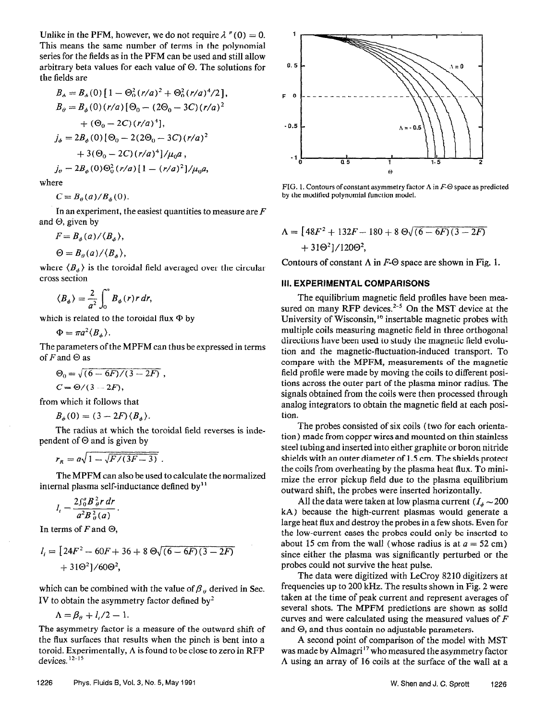Unlike in the PFM, however, we do not require  $\lambda''(0) = 0$ . This means the same number of terms in the polynomial series for the fields as in the PFM can be used and still allow arbitrary beta values for each value of  $\Theta$ . The solutions for the fields are

$$
B_{\phi} = B_{\phi}(0) \left[ 1 - \Theta_0^2 (r/a)^2 + \Theta_0^2 (r/a)^4 / 2 \right],
$$
  
\n
$$
B_{\theta} = B_{\phi}(0) (r/a) \left[ \Theta_0 - (2\Theta_0 - 3C) (r/a)^2 \right. \n+ (\Theta_0 - 2C) (r/a)^4],
$$
  
\n
$$
j_{\phi} = 2B_{\phi}(0) \left[ \Theta_0 - 2(2\Theta_0 - 3C) (r/a)^2 \right. \n+ 3(\Theta_0 - 2C) (r/a)^4 \left] / \mu_0 a,
$$
  
\n
$$
j_{\theta} = 2B_{\phi}(0) \Theta_0^2 (r/a) \left[ 1 - (r/a)^2 \right] / \mu_0 a,
$$

where

 $C = B_{\theta}(a)/B_{\phi}(0)$ .

In an experiment, the easiest quantities to measure are  $F$ and  $\Theta$ , given by

$$
F=B_{\phi}(a)/\langle B_{\phi}\rangle,
$$

$$
\Theta=B_{\theta}(a)/\langle B_{\phi}\rangle,
$$

where  $\langle B_{\phi} \rangle$  is the toroidal field averaged over the circular cross section

$$
\langle B_{\phi} \rangle = \frac{2}{a^2} \int_0^a B_{\phi}(r) r dr,
$$

which is related to the toroidal flux  $\Phi$  by

 $\Phi = \pi a^2 \langle B_{\phi} \rangle.$ 

The parameters of the MPFM can thus be expressed in terms of  $F$  and  $\Theta$  as

$$
\Theta_0 = \sqrt{(6-6F)/(3-2F)} ,
$$
  
\n
$$
C = \Theta/(3-2F),
$$

from which it follows that

$$
B_{\phi}(0) = (3 - 2F)\langle B_{\phi}\rangle.
$$

The radius at which the toroidal field reverses is independent of  $\Theta$  and is given by

$$
r_R = a\sqrt{1 - \sqrt{F/(3F - 3)}}.
$$

The MPFM can also be used to calculate the normalized internal plasma self-inductance defined by $<sup>11</sup>$ </sup>

$$
l_i=\frac{2\int_0^a B\frac{2}{\theta}r\,dr}{a^2B\frac{2}{\theta}(a)}.
$$

In terms of F and  $\Theta$ ,

$$
l_i = [24F^2 - 60F + 36 + 8 \Theta \sqrt{(6 - 6F)(3 - 2F)} + 31\Theta^2]/60\Theta^2,
$$

which can be combined with the value of  $\beta_{\theta}$  derived in Sec. IV to obtain the asymmetry factor defined by<sup>2</sup>

$$
\Lambda = \beta_{\theta} + l_{i}/2 - 1.
$$

The asymmetry factor is a measure of the outward shift of the flux surfaces that results when the pinch is bent into a toroid. Experimentally,  $\Lambda$  is found to be close to zero in RFP devices.  $12-15$ 



FIG. 1. Contours of constant asymmetry factor  $\Lambda$  in  $F-\Theta$  space as predicted by the modified polynomial function model.

 $A = \left[48F^2 + 132F - 180 + 8 \Theta \sqrt{(6-6F)(3-2F)}\right]$  $+310^{2}$ ]/1200<sup>2</sup>,

Contours of constant  $\Lambda$  in  $F-\Theta$  space are shown in Fig. 1.

### Ill. EXPERlMENTAL COMPARISONS

The equilibrium magnetic field profiles have been measured on many RFP devices. $2-5$  On the MST device at the University of Wisconsin,<sup>16</sup> insertable magnetic probes with multiple coils measuring magnetic field in three orthogonal directions have been used to study the magnetic held evolution and the magnetic-ffuctuation-induced transport. To compare with the MPFM, measurements of the magnetic field profile were made by moving the coils to different positions across the outer part of the plasma minor radius, The signals obtained from the coils were then processed through analog integrators to obtain the magnetic field at each position.

The probes consisted of six coils (two for each orientation) made from copper wires and mounted on thin stainless steel tubing and inserted into either graphite or boron nitride shields with an outer diameter of I.5 cm. The shields protect the coils from overheating by the plasma heat flux. To minimize the error pickup field due to the plasma equilibrium outward shift, the probes were inserted horizontally.

All the data were taken at low plasma current  $(I_A \sim 200$ kA) because the high-current plasmas would generate a large heat flux and destroy the probes in a few shots. Even for the low-current cases the probes could only be inserted to about 15 cm from the wall (whose radius is at  $a = 52$  cm) since either the plasma was significantly perturbed or the probes couId not survive the heat pulse.

The data were digitized with LeCroy 82 10 digitizers at frequencies up to 200 kHz. The results shown in Fig. 2 were taken at the time of peak current and represent averages of several shots. The MPFM predictions are shown as solid curves and were calculated using the measured values of  $F$ and  $\Theta$ , and thus contain no adjustable parameters.

A second point of comparison of the model with MST was made by Almagri<sup>17</sup> who measured the asymmetry factor A using an array of 16 coils at the surface of the wall at a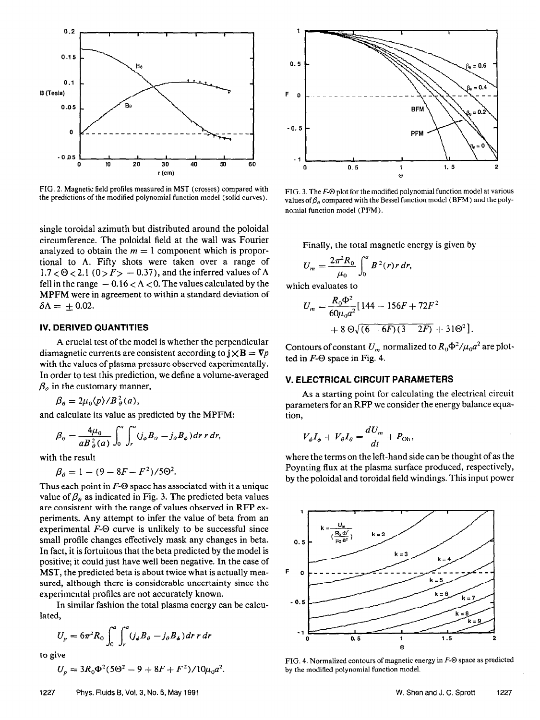

FIG. 2. Magnetic field profiles measured in MST (crosses) compared with the predictions of the modified polynomial function model (solid curves).

single toroidal azimuth but distributed around the poloidal circumference. The poloidal field at the wall was Fourier analyzed to obtain the  $m = 1$  component which is proportional to A. Fifty shots were taken over a range of  $1.7 < \Theta < 2.1$  (0 >  $F > -0.37$ ), and the inferred values of  $\Lambda$ fell in the range  $-0.16 < \Lambda < 0$ . The values calculated by the MPFM were in agreement to within a standard deviation of  $\delta \Lambda = \pm 0.02$ .

### IV. DERIVED QUANTITIES

A crucial test of the model is whether the perpendicular diamagnetic currents are consistent according to  $j \times B = \nabla p$ with the values of plasma pressure observed experimentally. In order to test this prediction, we define a volume-averaged  $\beta$ <sub>o</sub> in the customary manner,

 $\beta_{\theta} = 2\mu_0 \langle p \rangle / B_{\theta}^2(a),$ 

and calculate its value as predicted by the MPFM:

$$
\beta_{\theta} = \frac{4\mu_0}{aB_{\theta}^2(a)} \int_0^a \int_r^a (j_{\phi}B_{\theta} - j_{\theta}B_{\phi}) dr r dr,
$$

with the result

$$
\beta_{\theta} = 1 - (9 - 8F - F^2)/5\Theta^2.
$$

Thus each point in  $F-\Theta$  space has associated with it a unique value of  $\beta_{\theta}$  as indicated in Fig. 3. The predicted beta values are consistent with the range of values observed in RFP experiments. Any attempt to infer the value of beta from an experimental  $F-\Theta$  curve is unlikely to be successful since small profile changes effectively mask any changes in beta. In fact, it is fortuitous that the beta predicted by the model is positive; it could just have well been negative. In the case of MST, the predicted beta is about twice what is actually measured, although there is considerable uncertainty since the experimental profiles are not accurately known.

In similar fashion the total plasma energy can be calculated,

$$
U_p = 6\pi^2 R_0 \int_0^a \int_r^a (j_\phi B_\theta - j_\theta B_\phi) dr r dr
$$

to give

$$
U_p = 3R_0\Phi^2(5\Theta^2 - 9 + 8F + F^2)/10\mu_0 a^2.
$$



FIG. 3. The  $F-\Theta$  plot for the modified polynomial function model at various values of  $\beta_\theta$  compared with the Bessel function model (BFM) and the polynomial function model (PFM).

Finally, the total magnetic energy is given by

$$
U_m = \frac{2\pi^2 R_0}{\mu_0} \int_0^a B^2(r) r dr,
$$

which evaluates to

$$
U_m = \frac{R_0 \Phi^2}{60 \mu_0 a^2} [144 - 156F + 72F^2
$$
  
+ 8 \Theta \sqrt{(6 - 6F)(3 - 2F)} + 31\Theta^2]

Contours of constant  $U_m$  normalized to  $R_0\Phi^2/\mu_0 a^2$  are plotted in  $F-\Theta$  space in Fig. 4.

#### V. ELECTRICAL CIRCUIT PARAMETERS

As a starting point for calculating the electrical circuit parameters for an RFP we consider the energy balance equation,

$$
V_{\phi}I_{\phi} + V_{\theta}I_{\theta} = \frac{dU_m}{dt} + P_{\text{Oh}},
$$

where the terms on the left-hand side can be thought of as the Poynting flux at the plasma surface produced, respectively, by the poloidal and toroidal field windings. This input power



FIG. 4. Normalized contours of magnetic energy in  $F \Theta$  space as predicted by the modified polynomial function model.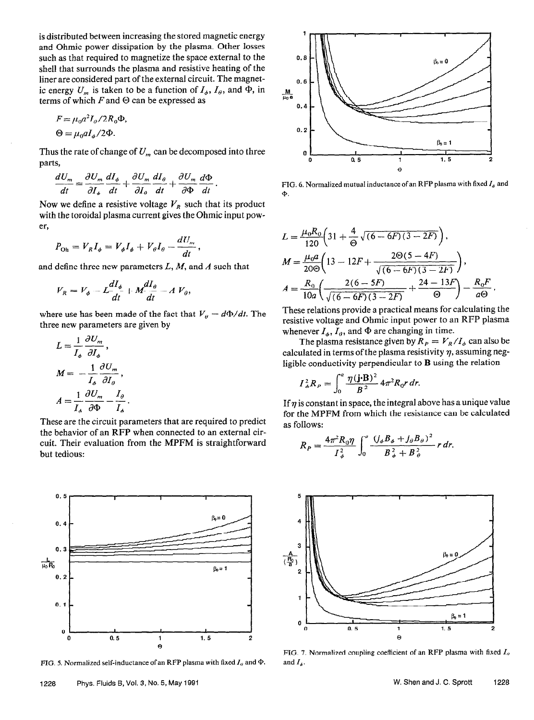is distributed between increasing the stored magnetic energy and Ohmic power dissipation by the plasma. Other losses such as that required to magnetize the space external to the shell that surrounds the plasma and resistive heating of the liner are considered part of the external circuit. The magnetic energy  $U_m$  is taken to be a function of  $I_{\phi}$ ,  $I_{\theta}$ , and  $\Phi$ , in terms of which  $F$  and  $\Theta$  can be expressed as

$$
F = \mu_0 a^2 I_0 / 2R_0 \Phi,
$$
  

$$
\Theta = \mu_0 a I_\phi / 2\Phi.
$$

Thus the rate of change of  $U_m$  can be decomposed into three parts,

$$
\frac{dU_m}{dt} = \frac{\partial U_m}{\partial I_{\phi}} \frac{dI_{\phi}}{dt} + \frac{\partial U_m}{\partial I_{\theta}} \frac{dI_{\theta}}{dt} + \frac{\partial U_m}{\partial \Phi} \frac{d\Phi}{dt}
$$

Now we define a resistive voltage  $V_R$  such that its product with the toroidal plasma current gives the Ohmic input power,

$$
P_{\text{Oh}} = V_R I_\phi = V_\phi I_\phi + V_\theta I_\theta - \frac{dU_m}{dt},
$$

and define three new parameters  $L, M$ , and A such that

$$
V_R = V_{\phi} - L\frac{dI_{\phi}}{dt} + M\frac{dI_{\theta}}{dt} - A V_{\theta},
$$

where use has been made of the fact that  $V_{\theta} = d\Phi/dt$ . The three new parameters are given by

$$
L = \frac{1}{I_{\phi}} \frac{\partial U_{m}}{\partial I_{\phi}},
$$
  

$$
M = -\frac{1}{I_{\phi}} \frac{\partial U_{m}}{\partial I_{\theta}},
$$
  

$$
A = \frac{1}{I_{\phi}} \frac{\partial U_{m}}{\partial \Phi} - \frac{I_{\theta}}{I_{\phi}}.
$$

These are the circuit parameters that are required to predict the behavior of an RFP when connected to an external circuit. Their evaluation from the MPFM is straightforward but tedious:



FIG. 5. Normalized self-inductance of an RFP plasma with fixed  $I_{\theta}$  and  $\Phi$ .



FIG. 6. Normalized mutual inductance of an RFP plasma with fixed  $I_a$  and  $\Phi$ .

$$
L = \frac{\mu_0 R_0}{120} \left( 31 + \frac{4}{\Theta} \sqrt{(6 - 6F)(3 - 2F)} \right),
$$
  
\n
$$
M = \frac{\mu_0 a}{20\Theta} \left( 13 - 12F + \frac{2\Theta(5 - 4F)}{\sqrt{(6 - 6F)(3 - 2F)}} \right),
$$
  
\n
$$
A = \frac{R_0}{10a} \left( \frac{2(6 - 5F)}{\sqrt{(6 - 6F)(3 - 2F)}} + \frac{24 - 13F}{\Theta} \right) - \frac{R_0 F}{a\Theta}.
$$

These relations provide a practical means for calculating the resistive voltage and Ohmic input power to an RFP plasma whenever  $I_{\phi}$ ,  $I_{\theta}$ , and  $\Phi$  are changing in time.

The plasma resistance given by  $R_P = V_R / I_{\phi}$  can also be calculated in terms of the plasma resistivity  $\eta$ , assuming negligible conductivity perpendicular to B using the relation

$$
I_{\phi}^2 R_P = \int_0^a \frac{\eta(\mathbf{j} \cdot \mathbf{B})^2}{B^2} 4\pi^2 R_0 r dr.
$$

If  $\eta$  is constant in space, the integral above has a unique value for the MPFM from which the resistance can be calculated as follows:

$$
R_P = \frac{4\pi^2 R_0 \eta}{I_\phi^2} \int_0^a \frac{(j_\phi B_\phi + j_\theta B_\theta)^2}{B_\phi^2 + B_\theta^2} r dr.
$$



FIG. 7. Normalized coupling coefficient of an RFP plasma with fixed  $I<sub>a</sub>$ and  $I_{\phi}$ .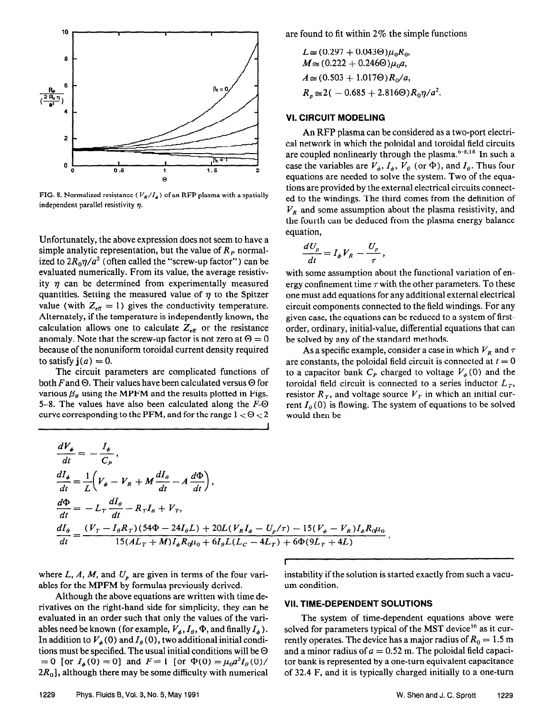

FIG. 8. Normalized resistance ( $V_R/I_A$ ) of an RFP plasma with a spatially independent parallel resistivity  $n$ .

Unfortunately, the above expression does not seem to have a simple analytic representation, but the value of  $R<sub>P</sub>$  normalized to  $2R_0\eta/a^2$  (often called the "screw-up factor") can be evaluated numerically. From its value, the average resistivity  $\eta$  can be determined from experimentally measured quantities. Setting the measured value of  $\eta$  to the Spitzer value (with  $Z_{\text{eff}} = 1$ ) gives the conductivity temperature. Alternately, if the temperature is independently known, the calculation allows one to calculate  $Z_{\text{eff}}$  or the resistance anomaly. Note that the screw-up factor is not zero at  $\Theta = 0$ because of the nonuniform toroidal current density required to satisfy  $\mathbf{j}(a) = 0$ .

The circuit parameters are complicated functions of both F and  $\Theta$ . Their values have been calculated versus  $\Theta$  for various  $\beta_e$  using the MPFM and the results plotted in Figs. 5-8. The values have also been calculated along the  $F-\Theta$ curve corresponding to the PFM, and for the range  $1 < \Theta < 2$ 

 $\frac{dV_{\phi}}{dt} = -\frac{I_{\phi}}{dt}$ 

are found to fit within 2% the simple functions

$$
L \approx (0.297 + 0.043\Theta)\mu_0 R_0,
$$
  
\n
$$
M \approx (0.222 + 0.246\Theta)\mu_0 a,
$$
  
\n
$$
A \approx (0.503 + 1.017\Theta)R_0/a,
$$
  
\n
$$
R_p \approx 2(-0.685 + 2.816\Theta)R_0 \eta/a^2.
$$

### VI. CIRCUIT MODELING

An RFP plasma can be considered as a two-port electrical network in which the poloidal and toroidal field circuits are coupled nonlinearly through the plasma. $6-8.18$  In such a case the variables are  $V_{\phi}$ ,  $I_{\phi}$ ,  $V_{\theta}$  (or  $\Phi$ ), and  $I_{\theta}$ . Thus four equations are needed to solve the system. Two of the equations are provided by the external electrical circuits connected to the windings. The third comes from the definition of  $V_R$  and some assumption about the plasma resistivity, and the fourth can be deduced from the plasma energy balance equation,

$$
\frac{dU_p}{dt}=I_{\phi}V_R-\frac{U_p}{\tau},
$$

with some assumption about the functional variation of energy confinement time  $\tau$  with the other parameters. To these one must add equations for any additional external electrical circuit components connected to the field windings. For any given case, the equations can be reduced to a system of firstorder, ordinary, initial-value, differential equations that can be solved by any of the standard methods.

As a specific example, consider a case in which  $V_R$  and  $\tau$ are constants, the poloidal field circuit is connected at  $t = 0$ to a capacitor bank  $C_p$  charged to voltage  $V_a(0)$  and the toroidal field circuit is connected to a series inductor  $L<sub>T</sub>$ , resistor  $R_T$ , and voltage source  $V_T$  in which an initial current  $I_{\theta}(0)$  is flowing. The system of equations to be solved would then be

$$
\frac{dI_{\phi}}{dt} = -\frac{1}{C_{P}},
$$
\n
$$
\frac{dI_{\phi}}{dt} = \frac{1}{L} \left( V_{\phi} - V_{R} + M \frac{dI_{\theta}}{dt} - A \frac{d\Phi}{dt} \right),
$$
\n
$$
\frac{d\Phi}{dt} = -L_{T} \frac{dI_{\theta}}{dt} - R_{T}I_{\theta} + V_{T},
$$
\n
$$
\frac{dI_{\theta}}{dt} = \frac{(V_{T} - I_{\theta}R_{T})(54\Phi - 24I_{\theta}L) + 20L(V_{R}I_{\phi} - U_{\rho}/\tau) - 15(V_{\phi} - V_{R})I_{\phi}R_{\theta}u_{0}}{15(AL_{T} + M)I_{\phi}R_{\theta}u_{0} + 6I_{\theta}L(L_{C} - 4L_{T}) + 6\Phi(9L_{T} + 4L)},
$$

I

ables for the MPFM by formulas previously derived. um condition.

Although the above equations are written with time derivatives on the right-hand side for simplicity, they can be **VII. TIME-DEPENDENT SOLUTIONS** evaluated in an order such that only the values of the vari- The system of time-dependent equations above were

where L, A, M, and  $U_p$  are given in terms of the four vari-<br>instability if the solution is started exactly from such a vacu-

ables need be known (for example,  $V_*, I_\theta$ ,  $\Phi$ , and finally  $I_\phi$ ). solved for parameters typical of the MST device<sup>16</sup> as it cur-In addition to  $V_a(0)$  and  $I_a(0)$ , two additional initial condi- rently operates. The device has a major radius of  $R_0 = 1.5$  m tions must be specified. The usual initial conditions will be  $\Theta$  and a minor radius of  $a = 0.52$  m. The poloidal field capaci-= 0 [or  $I_4(0) = 0$ ] and  $F = 1$  [or  $\Phi(0) = \mu_0 a^2 I_0(0)$ / tor bank is represented by a one-turn equivalent capacitance  $2R_0$ , although there may be some difficulty with numerical of 32.4 F, and it is typically charged initially to a one-turn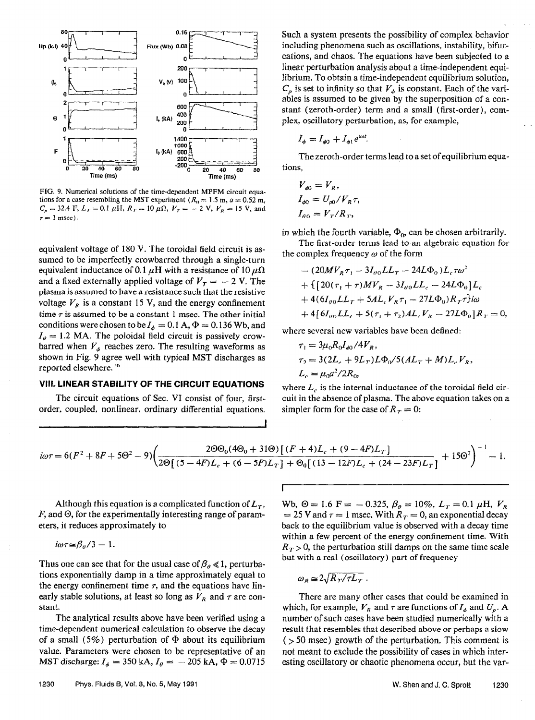

FIG. 9. Numerical solutions of the time-dependent MPFM circuit equations for a case resembling the MST experiment ( $R_0 = 1.5$  m,  $a = 0.52$  m,  $C_p = 32.4$  F,  $L_r = 0.1 \mu H$ ,  $R_r = 10 \mu \Omega$ ,  $V_r = -2$  V,  $V_R = 15$  V, and  $\tau = 1$  msec).

equivalent voltage of 180 V. The toroidal field circuit is assumed to be imperfectly crowbarred through a single-turn equivalent inductance of 0.1  $\mu$ H with a resistance of 10  $\mu\Omega$ and a fixed externally applied voltage of  $V_T = -2$  V. The plasma is assumed to have a resistance such that the resistive voltage  $V_R$  is a constant 15 V, and the energy confinement time  $\tau$  is assumed to be a constant 1 msec. The other initial conditions were chosen to be  $I_{\phi} = 0.1$  A,  $\Phi = 0.136$  Wb, and  $I<sub>0</sub> = 1.2$  MA. The poloidal field circuit is passively crowbarred when  $V_{\phi}$  reaches zero. The resulting waveforms as shown in Fig. 9 agree well with typical MST discharges as reported elsewhere.<sup>16</sup>

### VIII. LlNEAR STABILITY OF THE CIRCUIT EQUATIONS

The circuit equations of Sec. VI consist of four, firstorder, coupled, nonlinear, ordinary differential equations. Such a system presents the possibility of complex behavior including phenomena such as oscillations, instability, bifurcations, and chaos. The equations have been subjected to a linear perturbation analysis about a time-independent equilibrium. To obtain a time-independent equilibrium solution,  $C_p$  is set to infinity so that  $V_{\phi}$  is constant. Each of the variables is assumed to be given by the superposition of a constant (zeroth-order) term and a small (first-order), complex, oscillatory perturbation, as, for example,

$$
I_{\phi} = I_{\phi 0} + I_{\phi 1} e^{i\omega t}.
$$

The zeroth-order terms lead to a set of equilibrium equations,

$$
V_{\phi 0} = V_R,
$$
  
\n
$$
I_{\phi 0} = U_{\rho 0} / V_R \tau
$$
  
\n
$$
I_{\theta 0} = V_T / R_T,
$$

in which the fourth variable,  $\Phi_{\alpha}$  can be chosen arbitrarily.

The first-order terms lead to an algebraic equation for the complex frequency  $\omega$  of the form

$$
- (20MV_R \tau_1 - 3I_{\theta 0}LL_T - 24L\Phi_0)L_c \tau \omega^2
$$
  
+ { [20( $\tau_1 + \tau$ )MV\_R - 3I\_{\theta 0}LL\_c - 24L\Phi\_0]L\_c  
+ 4(6I\_{\theta 0}LL\_T + 5AL\_cV\_R \tau\_1 - 27L\Phi\_0)R\_T\tau\}i\omega  
+ 4[6I\_{\theta 0}LL\_c + 5(\tau\_1 + \tau\_2)AL\_cV\_R - 27L\Phi\_0]R\_T = 0.

where several new variables have been defined:

$$
\tau_1 = 3\mu_0 R_0 I_{\phi 0} / 4V_R,
$$
  
\n
$$
\tau_2 = 3(2L_c + 9L_T)L\Phi_0 / 5(AL_T + M)L_c V_R,
$$
  
\n
$$
L_c = \mu_0 a^2 / 2R_0,
$$

where  $L_c$  is the internal inductance of the toroidal field circuit in the absence of plasma. The above equation takes on a simpler form for the case of  $R_T = 0$ :

$$
i\omega\tau = 6(F^2 + 8F + 5\Theta^2 - 9)\left(\frac{2\Theta\Theta_0(4\Theta_0 + 31\Theta)\left[(F+4)L_c + (9-4F)L_T\right]}{2\Theta\left[(5-4F)L_c + (6-5F)L_T\right] + \Theta_0\left[(13-12F)L_c + (24-23F)L_T\right]} + 15\Theta^2\right)^{-1} - 1.
$$

I

Although this equation is a complicated function of  $L<sub>T</sub>$ ,  $F$ , and  $\Theta$ , for the experimentally interesting range of parameters, it reduces approximately to

$$
i\omega\tau{\approx}\beta_{\theta}/3-1.
$$

Thus one can see that for the usual case of  $\beta_{\theta} \ll 1$ , perturbations exponentially damp in a time approximately equal to the energy confinement time  $\tau$ , and the equations have linearly stable solutions, at least so long as  $V_R$  and  $\tau$  are constant.

The analytical results above have been verified using a time-dependent numerical calculation to observe the decay of a small (5%) perturbation of  $\Phi$  about its equilibrium value. Parameters were chosen to be representative of an MST discharge:  $I_{\phi} = 350 \text{ kA}, I_{\theta} = -205 \text{ kA}, \Phi = 0.0715$ 

Wb,  $\Theta = 1.6$  F = -0.325,  $\beta_{\theta} = 10\%$ ,  $L_T = 0.1 \mu$ H,  $V_R$ = 25 V and  $\tau$  = 1 msec. With  $R_T = 0$ , an exponential decay back to the equilibrium value is observed with a decay time within a few percent of the energy confinement time. With  $R_T > 0$ , the perturbation still damps on the same time scale but with a real (oscillatory) part of frequency

$$
\omega_R \simeq 2\sqrt{R_T/\tau L_T}
$$

There are many other cases that could be examined in which, for example,  $V_R$  and  $\tau$  are functions of  $I_\phi$  and  $U_p$ . A number of such cases have been studied numerically with a result that resembles that described above or perhaps a slow  $($  > 50 msec) growth of the perturbation. This comment is not meant to exclude the possibility of cases in which interesting oscillatory or chaotic phenomena occur, but the var